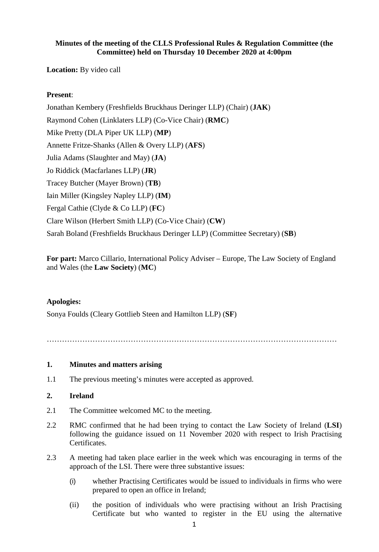## **Minutes of the meeting of the CLLS Professional Rules & Regulation Committee (the Committee) held on Thursday 10 December 2020 at 4:00pm**

**Location:** By video call

## **Present**:

Jonathan Kembery (Freshfields Bruckhaus Deringer LLP) (Chair) (**JAK**) Raymond Cohen (Linklaters LLP) (Co-Vice Chair) (**RMC**) Mike Pretty (DLA Piper UK LLP) (**MP**) Annette Fritze-Shanks (Allen & Overy LLP) (**AFS**) Julia Adams (Slaughter and May) (**JA**) Jo Riddick (Macfarlanes LLP) (**JR**) Tracey Butcher (Mayer Brown) (**TB**) Iain Miller (Kingsley Napley LLP) (**IM**) Fergal Cathie (Clyde & Co LLP) (**FC**) Clare Wilson (Herbert Smith LLP) (Co-Vice Chair) (**CW**) Sarah Boland (Freshfields Bruckhaus Deringer LLP) (Committee Secretary) (**SB**)

**For part:** Marco Cillario, International Policy Adviser – Europe, The Law Society of England and Wales (the **Law Society**) (**MC**)

### **Apologies:**

Sonya Foulds (Cleary Gottlieb Steen and Hamilton LLP) (**SF**)

……………………………………………………………………………………………………

### **1. Minutes and matters arising**

1.1 The previous meeting's minutes were accepted as approved.

#### **2. Ireland**

- 2.1 The Committee welcomed MC to the meeting.
- 2.2 RMC confirmed that he had been trying to contact the Law Society of Ireland (**LSI**) following the guidance issued on 11 November 2020 with respect to Irish Practising Certificates.
- 2.3 A meeting had taken place earlier in the week which was encouraging in terms of the approach of the LSI. There were three substantive issues:
	- (i) whether Practising Certificates would be issued to individuals in firms who were prepared to open an office in Ireland;
	- (ii) the position of individuals who were practising without an Irish Practising Certificate but who wanted to register in the EU using the alternative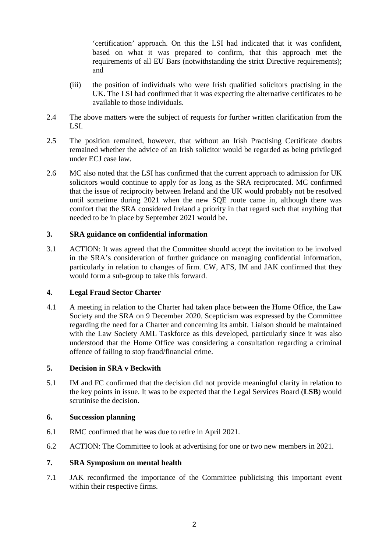'certification' approach. On this the LSI had indicated that it was confident, based on what it was prepared to confirm, that this approach met the requirements of all EU Bars (notwithstanding the strict Directive requirements); and

- (iii) the position of individuals who were Irish qualified solicitors practising in the UK. The LSI had confirmed that it was expecting the alternative certificates to be available to those individuals.
- 2.4 The above matters were the subject of requests for further written clarification from the LSI.
- 2.5 The position remained, however, that without an Irish Practising Certificate doubts remained whether the advice of an Irish solicitor would be regarded as being privileged under ECJ case law.
- 2.6 MC also noted that the LSI has confirmed that the current approach to admission for UK solicitors would continue to apply for as long as the SRA reciprocated. MC confirmed that the issue of reciprocity between Ireland and the UK would probably not be resolved until sometime during 2021 when the new SQE route came in, although there was comfort that the SRA considered Ireland a priority in that regard such that anything that needed to be in place by September 2021 would be.

### **3. SRA guidance on confidential information**

3.1 ACTION: It was agreed that the Committee should accept the invitation to be involved in the SRA's consideration of further guidance on managing confidential information, particularly in relation to changes of firm. CW, AFS, IM and JAK confirmed that they would form a sub-group to take this forward.

### **4. Legal Fraud Sector Charter**

4.1 A meeting in relation to the Charter had taken place between the Home Office, the Law Society and the SRA on 9 December 2020. Scepticism was expressed by the Committee regarding the need for a Charter and concerning its ambit. Liaison should be maintained with the Law Society AML Taskforce as this developed, particularly since it was also understood that the Home Office was considering a consultation regarding a criminal offence of failing to stop fraud/financial crime.

## **5. Decision in SRA v Beckwith**

5.1 IM and FC confirmed that the decision did not provide meaningful clarity in relation to the key points in issue. It was to be expected that the Legal Services Board (**LSB**) would scrutinise the decision.

### **6. Succession planning**

- 6.1 RMC confirmed that he was due to retire in April 2021.
- 6.2 ACTION: The Committee to look at advertising for one or two new members in 2021.

### **7. SRA Symposium on mental health**

7.1 JAK reconfirmed the importance of the Committee publicising this important event within their respective firms.